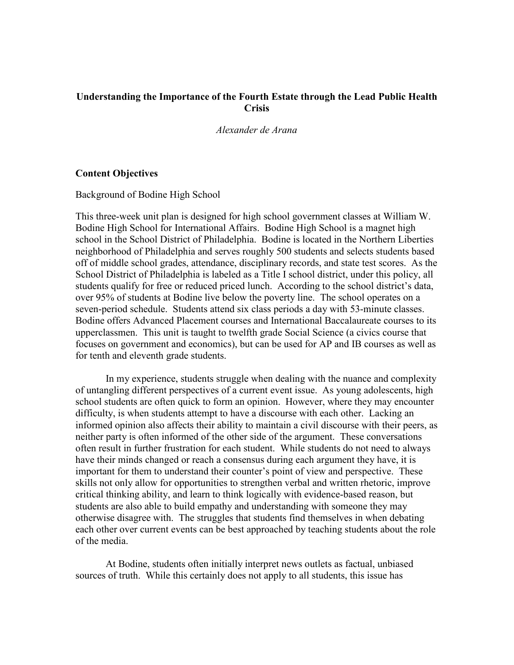### **Understanding the Importance of the Fourth Estate through the Lead Public Health Crisis**

*Alexander de Arana*

#### **Content Objectives**

Background of Bodine High School

This three-week unit plan is designed for high school government classes at William W. Bodine High School for International Affairs. Bodine High School is a magnet high school in the School District of Philadelphia. Bodine is located in the Northern Liberties neighborhood of Philadelphia and serves roughly 500 students and selects students based off of middle school grades, attendance, disciplinary records, and state test scores. As the School District of Philadelphia is labeled as a Title I school district, under this policy, all students qualify for free or reduced priced lunch. According to the school district's data, over 95% of students at Bodine live below the poverty line. The school operates on a seven-period schedule. Students attend six class periods a day with 53-minute classes. Bodine offers Advanced Placement courses and International Baccalaureate courses to its upperclassmen. This unit is taught to twelfth grade Social Science (a civics course that focuses on government and economics), but can be used for AP and IB courses as well as for tenth and eleventh grade students.

In my experience, students struggle when dealing with the nuance and complexity of untangling different perspectives of a current event issue. As young adolescents, high school students are often quick to form an opinion. However, where they may encounter difficulty, is when students attempt to have a discourse with each other. Lacking an informed opinion also affects their ability to maintain a civil discourse with their peers, as neither party is often informed of the other side of the argument. These conversations often result in further frustration for each student. While students do not need to always have their minds changed or reach a consensus during each argument they have, it is important for them to understand their counter's point of view and perspective. These skills not only allow for opportunities to strengthen verbal and written rhetoric, improve critical thinking ability, and learn to think logically with evidence-based reason, but students are also able to build empathy and understanding with someone they may otherwise disagree with. The struggles that students find themselves in when debating each other over current events can be best approached by teaching students about the role of the media.

At Bodine, students often initially interpret news outlets as factual, unbiased sources of truth. While this certainly does not apply to all students, this issue has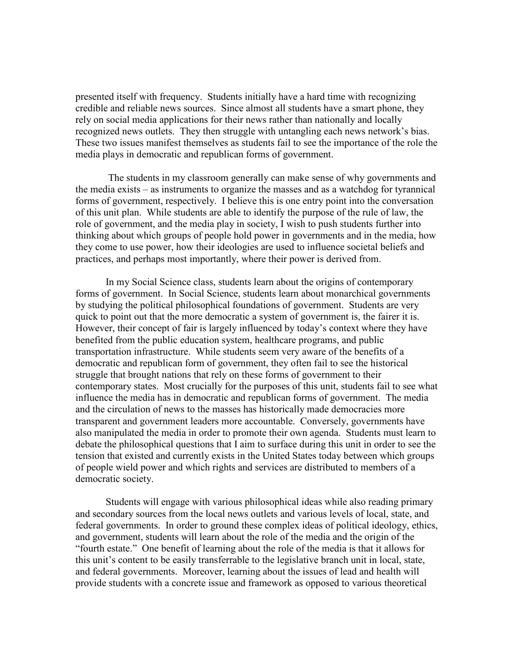presented itself with frequency. Students initially have a hard time with recognizing credible and reliable news sources. Since almost all students have a smart phone, they rely on social media applications for their news rather than nationally and locally recognized news outlets. They then struggle with untangling each news network's bias. These two issues manifest themselves as students fail to see the importance of the role the media plays in democratic and republican forms of government.

The students in my classroom generally can make sense of why governments and the media exists – as instruments to organize the masses and as a watchdog for tyrannical forms of government, respectively. I believe this is one entry point into the conversation of this unit plan. While students are able to identify the purpose of the rule of law, the role of government, and the media play in society, I wish to push students further into thinking about which groups of people hold power in governments and in the media, how they come to use power, how their ideologies are used to influence societal beliefs and practices, and perhaps most importantly, where their power is derived from.

In my Social Science class, students learn about the origins of contemporary forms of government. In Social Science, students learn about monarchical governments by studying the political philosophical foundations of government. Students are very quick to point out that the more democratic a system of government is, the fairer it is. However, their concept of fair is largely influenced by today's context where they have benefited from the public education system, healthcare programs, and public transportation infrastructure. While students seem very aware of the benefits of a democratic and republican form of government, they often fail to see the historical struggle that brought nations that rely on these forms of government to their contemporary states. Most crucially for the purposes of this unit, students fail to see what influence the media has in democratic and republican forms of government. The media and the circulation of news to the masses has historically made democracies more transparent and government leaders more accountable. Conversely, governments have also manipulated the media in order to promote their own agenda. Students must learn to debate the philosophical questions that I aim to surface during this unit in order to see the tension that existed and currently exists in the United States today between which groups of people wield power and which rights and services are distributed to members of a democratic society.

Students will engage with various philosophical ideas while also reading primary and secondary sources from the local news outlets and various levels of local, state, and federal governments. In order to ground these complex ideas of political ideology, ethics, and government, students will learn about the role of the media and the origin of the "fourth estate." One benefit of learning about the role of the media is that it allows for this unit's content to be easily transferrable to the legislative branch unit in local, state, and federal governments. Moreover, learning about the issues of lead and health will provide students with a concrete issue and framework as opposed to various theoretical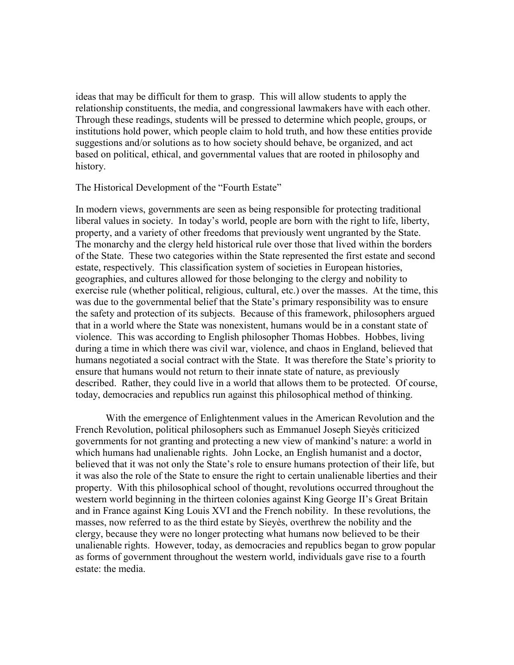ideas that may be difficult for them to grasp. This will allow students to apply the relationship constituents, the media, and congressional lawmakers have with each other. Through these readings, students will be pressed to determine which people, groups, or institutions hold power, which people claim to hold truth, and how these entities provide suggestions and/or solutions as to how society should behave, be organized, and act based on political, ethical, and governmental values that are rooted in philosophy and history.

The Historical Development of the "Fourth Estate"

In modern views, governments are seen as being responsible for protecting traditional liberal values in society. In today's world, people are born with the right to life, liberty, property, and a variety of other freedoms that previously went ungranted by the State. The monarchy and the clergy held historical rule over those that lived within the borders of the State. These two categories within the State represented the first estate and second estate, respectively. This classification system of societies in European histories, geographies, and cultures allowed for those belonging to the clergy and nobility to exercise rule (whether political, religious, cultural, etc.) over the masses. At the time, this was due to the governmental belief that the State's primary responsibility was to ensure the safety and protection of its subjects. Because of this framework, philosophers argued that in a world where the State was nonexistent, humans would be in a constant state of violence. This was according to English philosopher Thomas Hobbes. Hobbes, living during a time in which there was civil war, violence, and chaos in England, believed that humans negotiated a social contract with the State. It was therefore the State's priority to ensure that humans would not return to their innate state of nature, as previously described. Rather, they could live in a world that allows them to be protected. Of course, today, democracies and republics run against this philosophical method of thinking.

With the emergence of Enlightenment values in the American Revolution and the French Revolution, political philosophers such as Emmanuel Joseph Sieyès criticized governments for not granting and protecting a new view of mankind's nature: a world in which humans had unalienable rights. John Locke, an English humanist and a doctor, believed that it was not only the State's role to ensure humans protection of their life, but it was also the role of the State to ensure the right to certain unalienable liberties and their property. With this philosophical school of thought, revolutions occurred throughout the western world beginning in the thirteen colonies against King George II's Great Britain and in France against King Louis XVI and the French nobility. In these revolutions, the masses, now referred to as the third estate by Sieyès, overthrew the nobility and the clergy, because they were no longer protecting what humans now believed to be their unalienable rights. However, today, as democracies and republics began to grow popular as forms of government throughout the western world, individuals gave rise to a fourth estate: the media.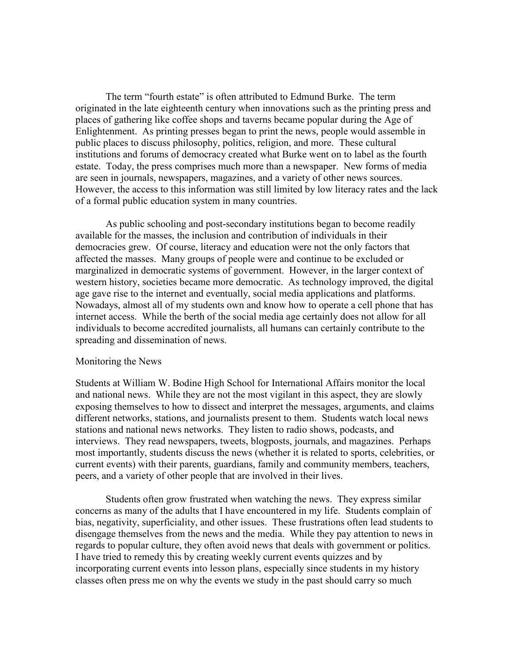The term "fourth estate" is often attributed to Edmund Burke. The term originated in the late eighteenth century when innovations such as the printing press and places of gathering like coffee shops and taverns became popular during the Age of Enlightenment. As printing presses began to print the news, people would assemble in public places to discuss philosophy, politics, religion, and more. These cultural institutions and forums of democracy created what Burke went on to label as the fourth estate. Today, the press comprises much more than a newspaper. New forms of media are seen in journals, newspapers, magazines, and a variety of other news sources. However, the access to this information was still limited by low literacy rates and the lack of a formal public education system in many countries.

As public schooling and post-secondary institutions began to become readily available for the masses, the inclusion and contribution of individuals in their democracies grew. Of course, literacy and education were not the only factors that affected the masses. Many groups of people were and continue to be excluded or marginalized in democratic systems of government. However, in the larger context of western history, societies became more democratic. As technology improved, the digital age gave rise to the internet and eventually, social media applications and platforms. Nowadays, almost all of my students own and know how to operate a cell phone that has internet access. While the berth of the social media age certainly does not allow for all individuals to become accredited journalists, all humans can certainly contribute to the spreading and dissemination of news.

#### Monitoring the News

Students at William W. Bodine High School for International Affairs monitor the local and national news. While they are not the most vigilant in this aspect, they are slowly exposing themselves to how to dissect and interpret the messages, arguments, and claims different networks, stations, and journalists present to them. Students watch local news stations and national news networks. They listen to radio shows, podcasts, and interviews. They read newspapers, tweets, blogposts, journals, and magazines. Perhaps most importantly, students discuss the news (whether it is related to sports, celebrities, or current events) with their parents, guardians, family and community members, teachers, peers, and a variety of other people that are involved in their lives.

Students often grow frustrated when watching the news. They express similar concerns as many of the adults that I have encountered in my life. Students complain of bias, negativity, superficiality, and other issues. These frustrations often lead students to disengage themselves from the news and the media. While they pay attention to news in regards to popular culture, they often avoid news that deals with government or politics. I have tried to remedy this by creating weekly current events quizzes and by incorporating current events into lesson plans, especially since students in my history classes often press me on why the events we study in the past should carry so much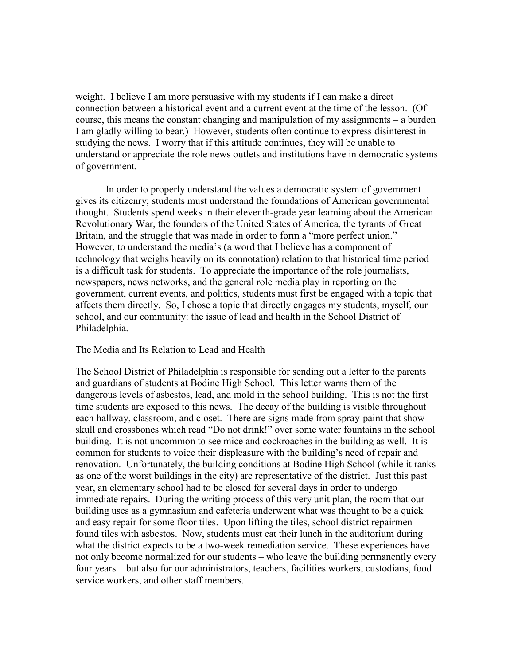weight. I believe I am more persuasive with my students if I can make a direct connection between a historical event and a current event at the time of the lesson. (Of course, this means the constant changing and manipulation of my assignments – a burden I am gladly willing to bear.) However, students often continue to express disinterest in studying the news. I worry that if this attitude continues, they will be unable to understand or appreciate the role news outlets and institutions have in democratic systems of government.

In order to properly understand the values a democratic system of government gives its citizenry; students must understand the foundations of American governmental thought. Students spend weeks in their eleventh-grade year learning about the American Revolutionary War, the founders of the United States of America, the tyrants of Great Britain, and the struggle that was made in order to form a "more perfect union." However, to understand the media's (a word that I believe has a component of technology that weighs heavily on its connotation) relation to that historical time period is a difficult task for students. To appreciate the importance of the role journalists, newspapers, news networks, and the general role media play in reporting on the government, current events, and politics, students must first be engaged with a topic that affects them directly. So, I chose a topic that directly engages my students, myself, our school, and our community: the issue of lead and health in the School District of Philadelphia.

#### The Media and Its Relation to Lead and Health

The School District of Philadelphia is responsible for sending out a letter to the parents and guardians of students at Bodine High School. This letter warns them of the dangerous levels of asbestos, lead, and mold in the school building. This is not the first time students are exposed to this news. The decay of the building is visible throughout each hallway, classroom, and closet. There are signs made from spray-paint that show skull and crossbones which read "Do not drink!" over some water fountains in the school building. It is not uncommon to see mice and cockroaches in the building as well. It is common for students to voice their displeasure with the building's need of repair and renovation. Unfortunately, the building conditions at Bodine High School (while it ranks as one of the worst buildings in the city) are representative of the district. Just this past year, an elementary school had to be closed for several days in order to undergo immediate repairs. During the writing process of this very unit plan, the room that our building uses as a gymnasium and cafeteria underwent what was thought to be a quick and easy repair for some floor tiles. Upon lifting the tiles, school district repairmen found tiles with asbestos. Now, students must eat their lunch in the auditorium during what the district expects to be a two-week remediation service. These experiences have not only become normalized for our students – who leave the building permanently every four years – but also for our administrators, teachers, facilities workers, custodians, food service workers, and other staff members.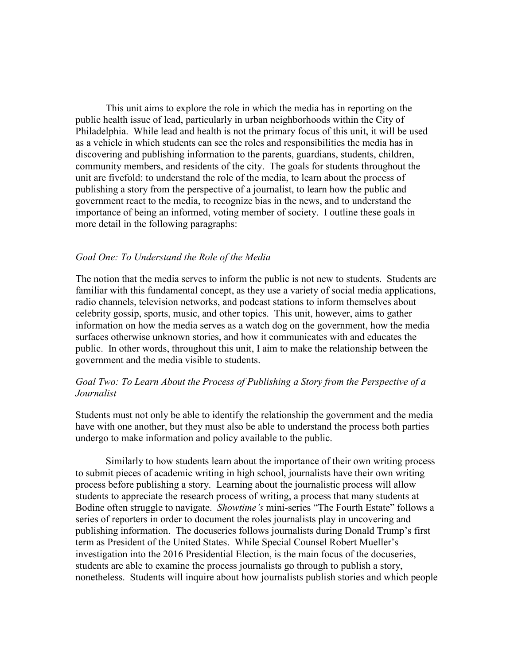This unit aims to explore the role in which the media has in reporting on the public health issue of lead, particularly in urban neighborhoods within the City of Philadelphia. While lead and health is not the primary focus of this unit, it will be used as a vehicle in which students can see the roles and responsibilities the media has in discovering and publishing information to the parents, guardians, students, children, community members, and residents of the city. The goals for students throughout the unit are fivefold: to understand the role of the media, to learn about the process of publishing a story from the perspective of a journalist, to learn how the public and government react to the media, to recognize bias in the news, and to understand the importance of being an informed, voting member of society. I outline these goals in more detail in the following paragraphs:

#### *Goal One: To Understand the Role of the Media*

The notion that the media serves to inform the public is not new to students. Students are familiar with this fundamental concept, as they use a variety of social media applications, radio channels, television networks, and podcast stations to inform themselves about celebrity gossip, sports, music, and other topics. This unit, however, aims to gather information on how the media serves as a watch dog on the government, how the media surfaces otherwise unknown stories, and how it communicates with and educates the public. In other words, throughout this unit, I aim to make the relationship between the government and the media visible to students.

## *Goal Two: To Learn About the Process of Publishing a Story from the Perspective of a Journalist*

Students must not only be able to identify the relationship the government and the media have with one another, but they must also be able to understand the process both parties undergo to make information and policy available to the public.

Similarly to how students learn about the importance of their own writing process to submit pieces of academic writing in high school, journalists have their own writing process before publishing a story. Learning about the journalistic process will allow students to appreciate the research process of writing, a process that many students at Bodine often struggle to navigate. *Showtime's* mini-series "The Fourth Estate" follows a series of reporters in order to document the roles journalists play in uncovering and publishing information. The docuseries follows journalists during Donald Trump's first term as President of the United States. While Special Counsel Robert Mueller's investigation into the 2016 Presidential Election, is the main focus of the docuseries, students are able to examine the process journalists go through to publish a story, nonetheless. Students will inquire about how journalists publish stories and which people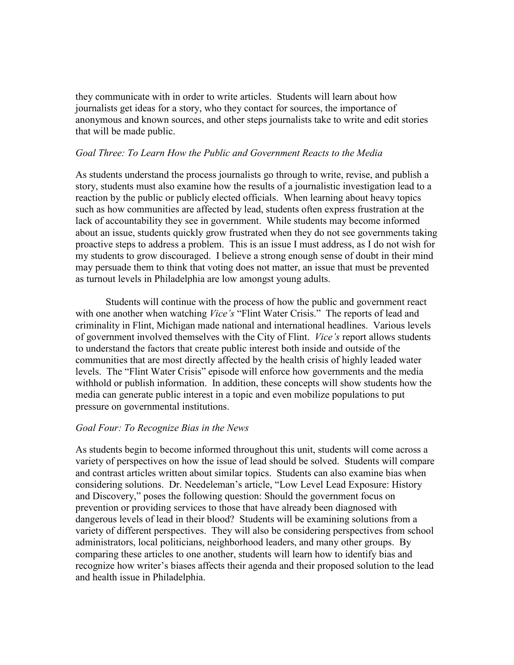they communicate with in order to write articles. Students will learn about how journalists get ideas for a story, who they contact for sources, the importance of anonymous and known sources, and other steps journalists take to write and edit stories that will be made public.

#### *Goal Three: To Learn How the Public and Government Reacts to the Media*

As students understand the process journalists go through to write, revise, and publish a story, students must also examine how the results of a journalistic investigation lead to a reaction by the public or publicly elected officials. When learning about heavy topics such as how communities are affected by lead, students often express frustration at the lack of accountability they see in government. While students may become informed about an issue, students quickly grow frustrated when they do not see governments taking proactive steps to address a problem. This is an issue I must address, as I do not wish for my students to grow discouraged. I believe a strong enough sense of doubt in their mind may persuade them to think that voting does not matter, an issue that must be prevented as turnout levels in Philadelphia are low amongst young adults.

Students will continue with the process of how the public and government react with one another when watching *Vice's* "Flint Water Crisis." The reports of lead and criminality in Flint, Michigan made national and international headlines. Various levels of government involved themselves with the City of Flint. *Vice's* report allows students to understand the factors that create public interest both inside and outside of the communities that are most directly affected by the health crisis of highly leaded water levels. The "Flint Water Crisis" episode will enforce how governments and the media withhold or publish information. In addition, these concepts will show students how the media can generate public interest in a topic and even mobilize populations to put pressure on governmental institutions.

#### *Goal Four: To Recognize Bias in the News*

As students begin to become informed throughout this unit, students will come across a variety of perspectives on how the issue of lead should be solved. Students will compare and contrast articles written about similar topics. Students can also examine bias when considering solutions. Dr. Needeleman's article, "Low Level Lead Exposure: History and Discovery," poses the following question: Should the government focus on prevention or providing services to those that have already been diagnosed with dangerous levels of lead in their blood? Students will be examining solutions from a variety of different perspectives. They will also be considering perspectives from school administrators, local politicians, neighborhood leaders, and many other groups. By comparing these articles to one another, students will learn how to identify bias and recognize how writer's biases affects their agenda and their proposed solution to the lead and health issue in Philadelphia.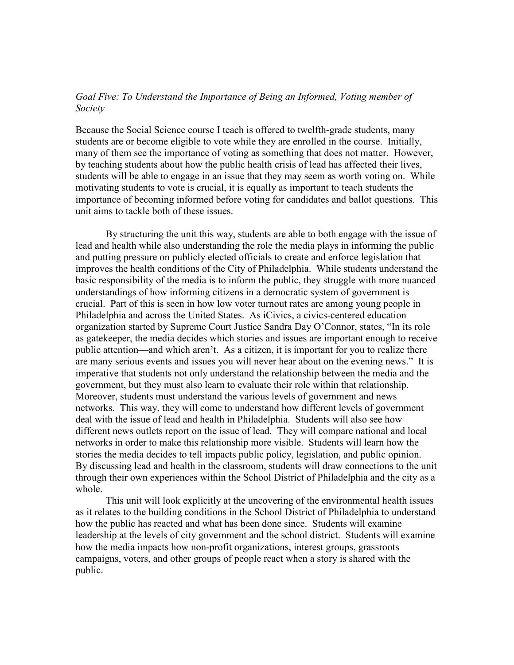## *Goal Five: To Understand the Importance of Being an Informed, Voting member of Society*

Because the Social Science course I teach is offered to twelfth-grade students, many students are or become eligible to vote while they are enrolled in the course. Initially, many of them see the importance of voting as something that does not matter. However, by teaching students about how the public health crisis of lead has affected their lives, students will be able to engage in an issue that they may seem as worth voting on. While motivating students to vote is crucial, it is equally as important to teach students the importance of becoming informed before voting for candidates and ballot questions. This unit aims to tackle both of these issues.

By structuring the unit this way, students are able to both engage with the issue of lead and health while also understanding the role the media plays in informing the public and putting pressure on publicly elected officials to create and enforce legislation that improves the health conditions of the City of Philadelphia. While students understand the basic responsibility of the media is to inform the public, they struggle with more nuanced understandings of how informing citizens in a democratic system of government is crucial. Part of this is seen in how low voter turnout rates are among young people in Philadelphia and across the United States. As iCivics, a civics-centered education organization started by Supreme Court Justice Sandra Day O'Connor, states, "In its role as gatekeeper, the media decides which stories and issues are important enough to receive public attention—and which aren't. As a citizen, it is important for you to realize there are many serious events and issues you will never hear about on the evening news." It is imperative that students not only understand the relationship between the media and the government, but they must also learn to evaluate their role within that relationship. Moreover, students must understand the various levels of government and news networks. This way, they will come to understand how different levels of government deal with the issue of lead and health in Philadelphia. Students will also see how different news outlets report on the issue of lead. They will compare national and local networks in order to make this relationship more visible. Students will learn how the stories the media decides to tell impacts public policy, legislation, and public opinion. By discussing lead and health in the classroom, students will draw connections to the unit through their own experiences within the School District of Philadelphia and the city as a whole.

This unit will look explicitly at the uncovering of the environmental health issues as it relates to the building conditions in the School District of Philadelphia to understand how the public has reacted and what has been done since. Students will examine leadership at the levels of city government and the school district. Students will examine how the media impacts how non-profit organizations, interest groups, grassroots campaigns, voters, and other groups of people react when a story is shared with the public.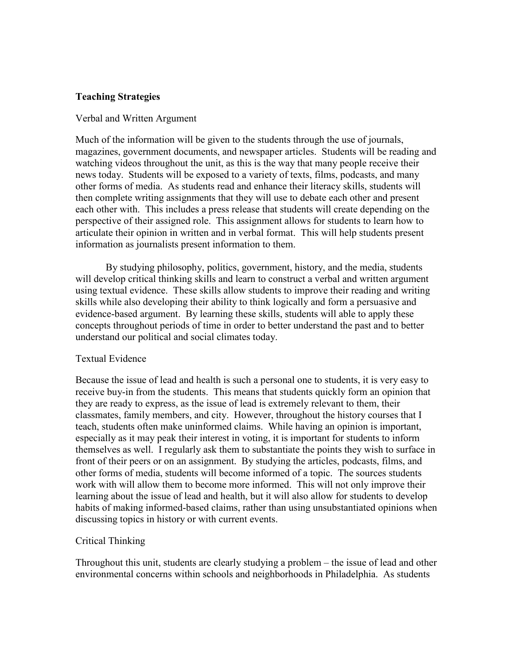## **Teaching Strategies**

#### Verbal and Written Argument

Much of the information will be given to the students through the use of journals, magazines, government documents, and newspaper articles. Students will be reading and watching videos throughout the unit, as this is the way that many people receive their news today. Students will be exposed to a variety of texts, films, podcasts, and many other forms of media. As students read and enhance their literacy skills, students will then complete writing assignments that they will use to debate each other and present each other with. This includes a press release that students will create depending on the perspective of their assigned role. This assignment allows for students to learn how to articulate their opinion in written and in verbal format. This will help students present information as journalists present information to them.

By studying philosophy, politics, government, history, and the media, students will develop critical thinking skills and learn to construct a verbal and written argument using textual evidence. These skills allow students to improve their reading and writing skills while also developing their ability to think logically and form a persuasive and evidence-based argument. By learning these skills, students will able to apply these concepts throughout periods of time in order to better understand the past and to better understand our political and social climates today.

### Textual Evidence

Because the issue of lead and health is such a personal one to students, it is very easy to receive buy-in from the students. This means that students quickly form an opinion that they are ready to express, as the issue of lead is extremely relevant to them, their classmates, family members, and city. However, throughout the history courses that I teach, students often make uninformed claims. While having an opinion is important, especially as it may peak their interest in voting, it is important for students to inform themselves as well. I regularly ask them to substantiate the points they wish to surface in front of their peers or on an assignment. By studying the articles, podcasts, films, and other forms of media, students will become informed of a topic. The sources students work with will allow them to become more informed. This will not only improve their learning about the issue of lead and health, but it will also allow for students to develop habits of making informed-based claims, rather than using unsubstantiated opinions when discussing topics in history or with current events.

### Critical Thinking

Throughout this unit, students are clearly studying a problem – the issue of lead and other environmental concerns within schools and neighborhoods in Philadelphia. As students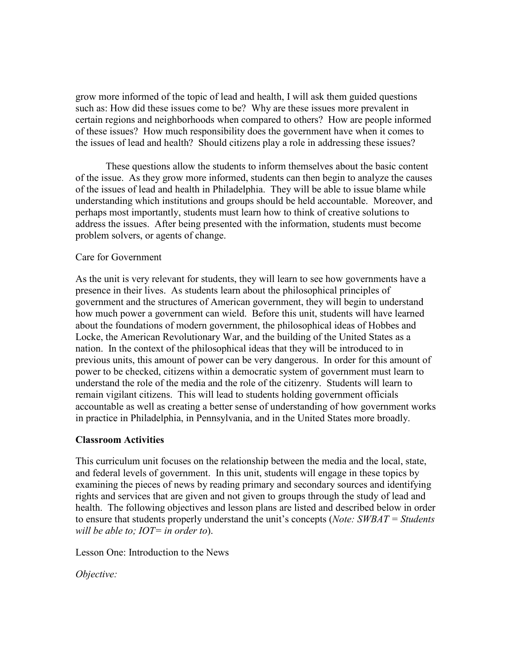grow more informed of the topic of lead and health, I will ask them guided questions such as: How did these issues come to be? Why are these issues more prevalent in certain regions and neighborhoods when compared to others? How are people informed of these issues? How much responsibility does the government have when it comes to the issues of lead and health? Should citizens play a role in addressing these issues?

These questions allow the students to inform themselves about the basic content of the issue. As they grow more informed, students can then begin to analyze the causes of the issues of lead and health in Philadelphia. They will be able to issue blame while understanding which institutions and groups should be held accountable. Moreover, and perhaps most importantly, students must learn how to think of creative solutions to address the issues. After being presented with the information, students must become problem solvers, or agents of change.

#### Care for Government

As the unit is very relevant for students, they will learn to see how governments have a presence in their lives. As students learn about the philosophical principles of government and the structures of American government, they will begin to understand how much power a government can wield. Before this unit, students will have learned about the foundations of modern government, the philosophical ideas of Hobbes and Locke, the American Revolutionary War, and the building of the United States as a nation. In the context of the philosophical ideas that they will be introduced to in previous units, this amount of power can be very dangerous. In order for this amount of power to be checked, citizens within a democratic system of government must learn to understand the role of the media and the role of the citizenry. Students will learn to remain vigilant citizens. This will lead to students holding government officials accountable as well as creating a better sense of understanding of how government works in practice in Philadelphia, in Pennsylvania, and in the United States more broadly.

### **Classroom Activities**

This curriculum unit focuses on the relationship between the media and the local, state, and federal levels of government. In this unit, students will engage in these topics by examining the pieces of news by reading primary and secondary sources and identifying rights and services that are given and not given to groups through the study of lead and health. The following objectives and lesson plans are listed and described below in order to ensure that students properly understand the unit's concepts (*Note: SWBAT = Students will be able to; IOT= in order to*).

Lesson One: Introduction to the News

*Objective:*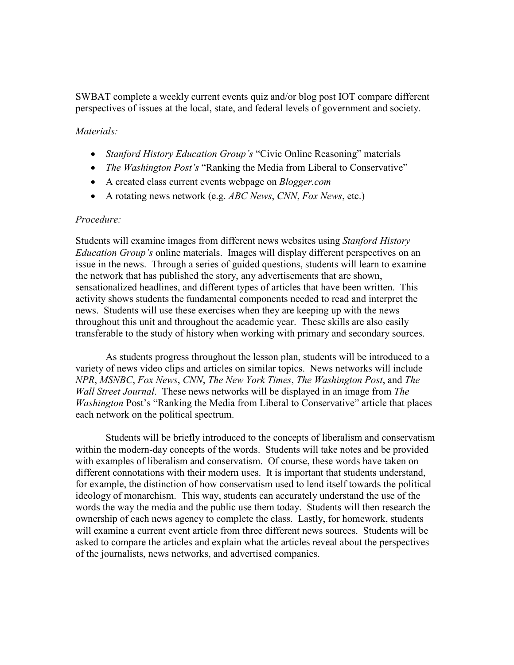SWBAT complete a weekly current events quiz and/or blog post IOT compare different perspectives of issues at the local, state, and federal levels of government and society.

#### *Materials:*

- *Stanford History Education Group's* "Civic Online Reasoning" materials
- *The Washington Post's* "Ranking the Media from Liberal to Conservative"
- A created class current events webpage on *Blogger.com*
- A rotating news network (e.g. *ABC News*, *CNN*, *Fox News*, etc.)

#### *Procedure:*

Students will examine images from different news websites using *Stanford History Education Group's* online materials. Images will display different perspectives on an issue in the news. Through a series of guided questions, students will learn to examine the network that has published the story, any advertisements that are shown, sensationalized headlines, and different types of articles that have been written. This activity shows students the fundamental components needed to read and interpret the news. Students will use these exercises when they are keeping up with the news throughout this unit and throughout the academic year. These skills are also easily transferable to the study of history when working with primary and secondary sources.

As students progress throughout the lesson plan, students will be introduced to a variety of news video clips and articles on similar topics. News networks will include *NPR*, *MSNBC*, *Fox News*, *CNN*, *The New York Times*, *The Washington Post*, and *The Wall Street Journal*. These news networks will be displayed in an image from *The Washington* Post's "Ranking the Media from Liberal to Conservative" article that places each network on the political spectrum.

Students will be briefly introduced to the concepts of liberalism and conservatism within the modern-day concepts of the words. Students will take notes and be provided with examples of liberalism and conservatism. Of course, these words have taken on different connotations with their modern uses. It is important that students understand, for example, the distinction of how conservatism used to lend itself towards the political ideology of monarchism. This way, students can accurately understand the use of the words the way the media and the public use them today. Students will then research the ownership of each news agency to complete the class. Lastly, for homework, students will examine a current event article from three different news sources. Students will be asked to compare the articles and explain what the articles reveal about the perspectives of the journalists, news networks, and advertised companies.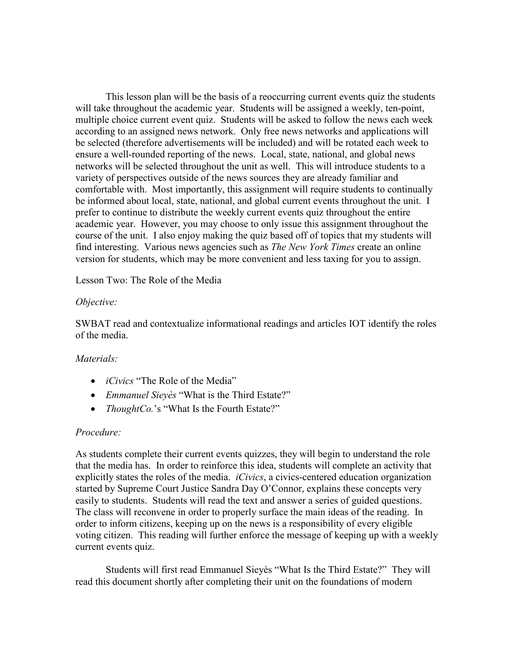This lesson plan will be the basis of a reoccurring current events quiz the students will take throughout the academic year. Students will be assigned a weekly, ten-point, multiple choice current event quiz. Students will be asked to follow the news each week according to an assigned news network. Only free news networks and applications will be selected (therefore advertisements will be included) and will be rotated each week to ensure a well-rounded reporting of the news. Local, state, national, and global news networks will be selected throughout the unit as well. This will introduce students to a variety of perspectives outside of the news sources they are already familiar and comfortable with. Most importantly, this assignment will require students to continually be informed about local, state, national, and global current events throughout the unit. I prefer to continue to distribute the weekly current events quiz throughout the entire academic year. However, you may choose to only issue this assignment throughout the course of the unit. I also enjoy making the quiz based off of topics that my students will find interesting. Various news agencies such as *The New York Times* create an online version for students, which may be more convenient and less taxing for you to assign.

Lesson Two: The Role of the Media

### *Objective:*

SWBAT read and contextualize informational readings and articles IOT identify the roles of the media.

### *Materials:*

- *iCivics* "The Role of the Media"
- *Emmanuel Sieyès* "What is the Third Estate?"
- *ThoughtCo.*'s "What Is the Fourth Estate?"

### *Procedure:*

As students complete their current events quizzes, they will begin to understand the role that the media has. In order to reinforce this idea, students will complete an activity that explicitly states the roles of the media. *iCivics*, a civics-centered education organization started by Supreme Court Justice Sandra Day O'Connor, explains these concepts very easily to students. Students will read the text and answer a series of guided questions. The class will reconvene in order to properly surface the main ideas of the reading. In order to inform citizens, keeping up on the news is a responsibility of every eligible voting citizen. This reading will further enforce the message of keeping up with a weekly current events quiz.

Students will first read Emmanuel Sieyès "What Is the Third Estate?" They will read this document shortly after completing their unit on the foundations of modern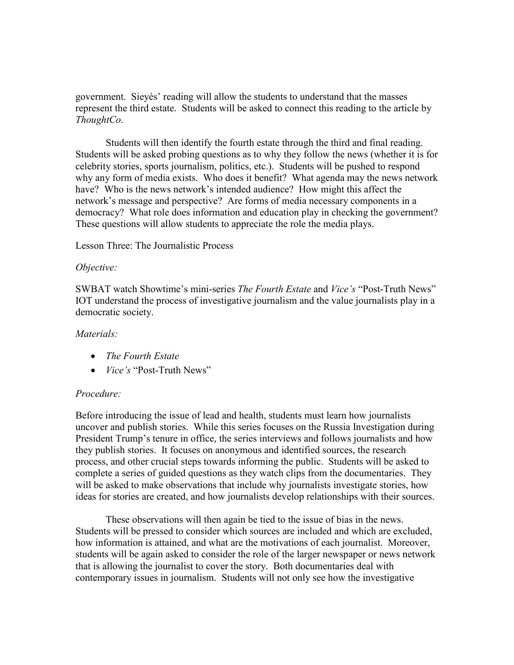government. Sieyès' reading will allow the students to understand that the masses represent the third estate. Students will be asked to connect this reading to the article by *ThoughtCo*.

Students will then identify the fourth estate through the third and final reading. Students will be asked probing questions as to why they follow the news (whether it is for celebrity stories, sports journalism, politics, etc.). Students will be pushed to respond why any form of media exists. Who does it benefit? What agenda may the news network have? Who is the news network's intended audience? How might this affect the network's message and perspective? Are forms of media necessary components in a democracy? What role does information and education play in checking the government? These questions will allow students to appreciate the role the media plays.

Lesson Three: The Journalistic Process

#### *Objective:*

SWBAT watch Showtime's mini-series *The Fourth Estate* and *Vice's* "Post-Truth News" IOT understand the process of investigative journalism and the value journalists play in a democratic society.

### *Materials:*

- *The Fourth Estate*
- *Vice's* "Post-Truth News"

### *Procedure:*

Before introducing the issue of lead and health, students must learn how journalists uncover and publish stories. While this series focuses on the Russia Investigation during President Trump's tenure in office, the series interviews and follows journalists and how they publish stories. It focuses on anonymous and identified sources, the research process, and other crucial steps towards informing the public. Students will be asked to complete a series of guided questions as they watch clips from the documentaries. They will be asked to make observations that include why journalists investigate stories, how ideas for stories are created, and how journalists develop relationships with their sources.

These observations will then again be tied to the issue of bias in the news. Students will be pressed to consider which sources are included and which are excluded, how information is attained, and what are the motivations of each journalist. Moreover, students will be again asked to consider the role of the larger newspaper or news network that is allowing the journalist to cover the story. Both documentaries deal with contemporary issues in journalism. Students will not only see how the investigative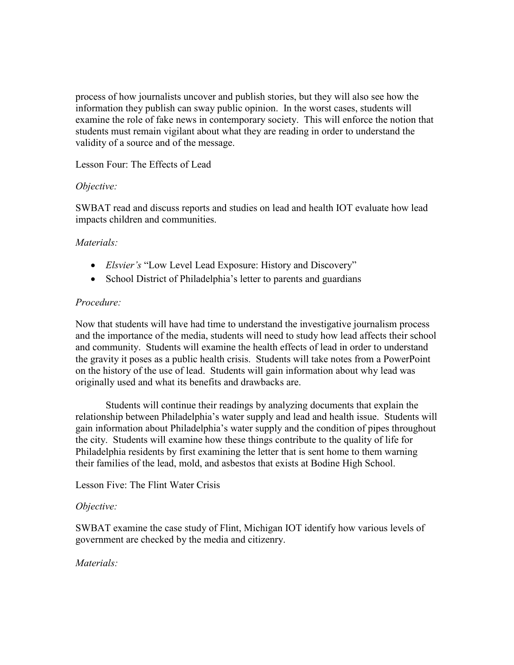process of how journalists uncover and publish stories, but they will also see how the information they publish can sway public opinion. In the worst cases, students will examine the role of fake news in contemporary society. This will enforce the notion that students must remain vigilant about what they are reading in order to understand the validity of a source and of the message.

Lesson Four: The Effects of Lead

## *Objective:*

SWBAT read and discuss reports and studies on lead and health IOT evaluate how lead impacts children and communities.

# *Materials:*

- *Elsvier's* "Low Level Lead Exposure: History and Discovery"
- School District of Philadelphia's letter to parents and guardians

# *Procedure:*

Now that students will have had time to understand the investigative journalism process and the importance of the media, students will need to study how lead affects their school and community. Students will examine the health effects of lead in order to understand the gravity it poses as a public health crisis. Students will take notes from a PowerPoint on the history of the use of lead. Students will gain information about why lead was originally used and what its benefits and drawbacks are.

Students will continue their readings by analyzing documents that explain the relationship between Philadelphia's water supply and lead and health issue. Students will gain information about Philadelphia's water supply and the condition of pipes throughout the city. Students will examine how these things contribute to the quality of life for Philadelphia residents by first examining the letter that is sent home to them warning their families of the lead, mold, and asbestos that exists at Bodine High School.

# Lesson Five: The Flint Water Crisis

# *Objective:*

SWBAT examine the case study of Flint, Michigan IOT identify how various levels of government are checked by the media and citizenry.

# *Materials:*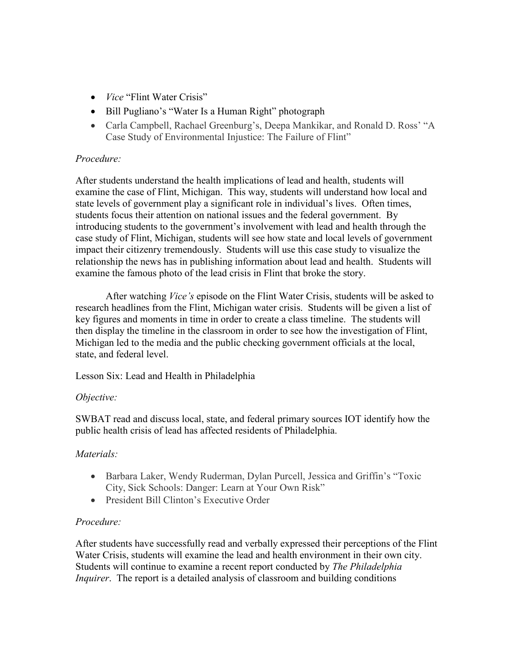- *Vice* "Flint Water Crisis"
- Bill Pugliano's "Water Is a Human Right" photograph
- Carla Campbell, Rachael Greenburg's, Deepa Mankikar, and Ronald D. Ross' "A Case Study of Environmental Injustice: The Failure of Flint"

## *Procedure:*

After students understand the health implications of lead and health, students will examine the case of Flint, Michigan. This way, students will understand how local and state levels of government play a significant role in individual's lives. Often times, students focus their attention on national issues and the federal government. By introducing students to the government's involvement with lead and health through the case study of Flint, Michigan, students will see how state and local levels of government impact their citizenry tremendously. Students will use this case study to visualize the relationship the news has in publishing information about lead and health. Students will examine the famous photo of the lead crisis in Flint that broke the story.

After watching *Vice's* episode on the Flint Water Crisis, students will be asked to research headlines from the Flint, Michigan water crisis. Students will be given a list of key figures and moments in time in order to create a class timeline. The students will then display the timeline in the classroom in order to see how the investigation of Flint, Michigan led to the media and the public checking government officials at the local, state, and federal level.

Lesson Six: Lead and Health in Philadelphia

### *Objective:*

SWBAT read and discuss local, state, and federal primary sources IOT identify how the public health crisis of lead has affected residents of Philadelphia.

# *Materials:*

- Barbara Laker, Wendy Ruderman, Dylan Purcell, Jessica and Griffin's "Toxic City, Sick Schools: Danger: Learn at Your Own Risk"
- President Bill Clinton's Executive Order

### *Procedure:*

After students have successfully read and verbally expressed their perceptions of the Flint Water Crisis, students will examine the lead and health environment in their own city. Students will continue to examine a recent report conducted by *The Philadelphia Inquirer*. The report is a detailed analysis of classroom and building conditions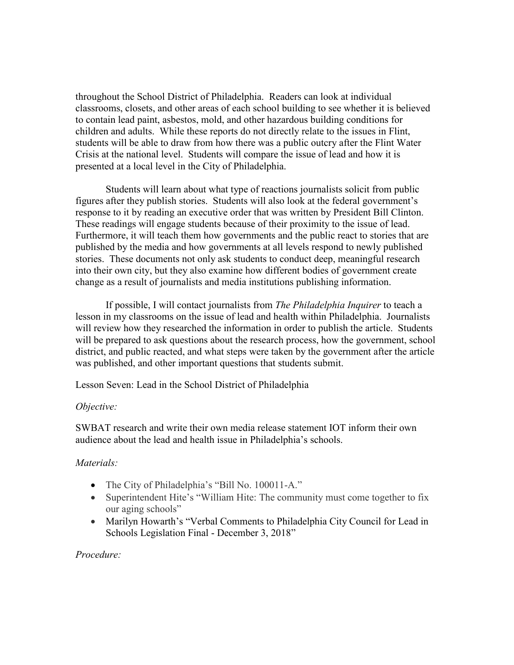throughout the School District of Philadelphia. Readers can look at individual classrooms, closets, and other areas of each school building to see whether it is believed to contain lead paint, asbestos, mold, and other hazardous building conditions for children and adults. While these reports do not directly relate to the issues in Flint, students will be able to draw from how there was a public outcry after the Flint Water Crisis at the national level. Students will compare the issue of lead and how it is presented at a local level in the City of Philadelphia.

Students will learn about what type of reactions journalists solicit from public figures after they publish stories. Students will also look at the federal government's response to it by reading an executive order that was written by President Bill Clinton. These readings will engage students because of their proximity to the issue of lead. Furthermore, it will teach them how governments and the public react to stories that are published by the media and how governments at all levels respond to newly published stories. These documents not only ask students to conduct deep, meaningful research into their own city, but they also examine how different bodies of government create change as a result of journalists and media institutions publishing information.

If possible, I will contact journalists from *The Philadelphia Inquirer* to teach a lesson in my classrooms on the issue of lead and health within Philadelphia. Journalists will review how they researched the information in order to publish the article. Students will be prepared to ask questions about the research process, how the government, school district, and public reacted, and what steps were taken by the government after the article was published, and other important questions that students submit.

Lesson Seven: Lead in the School District of Philadelphia

# *Objective:*

SWBAT research and write their own media release statement IOT inform their own audience about the lead and health issue in Philadelphia's schools.

# *Materials:*

- The City of Philadelphia's "Bill No. 100011-A."
- Superintendent Hite's "William Hite: The community must come together to fix our aging schools"
- Marilyn Howarth's "Verbal Comments to Philadelphia City Council for Lead in Schools Legislation Final - December 3, 2018"

# *Procedure:*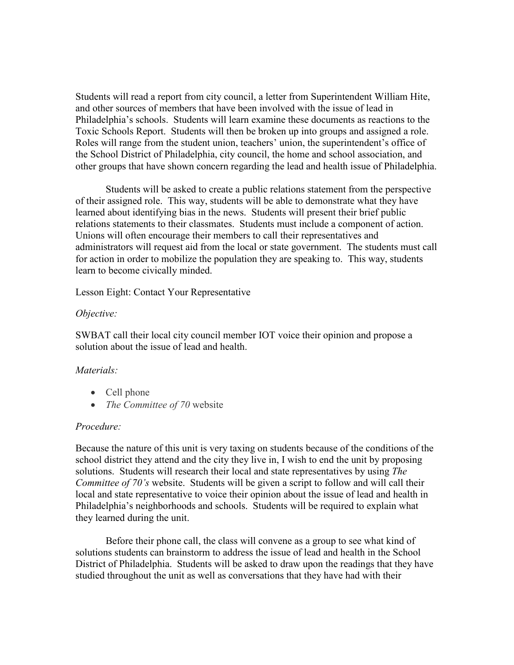Students will read a report from city council, a letter from Superintendent William Hite, and other sources of members that have been involved with the issue of lead in Philadelphia's schools. Students will learn examine these documents as reactions to the Toxic Schools Report. Students will then be broken up into groups and assigned a role. Roles will range from the student union, teachers' union, the superintendent's office of the School District of Philadelphia, city council, the home and school association, and other groups that have shown concern regarding the lead and health issue of Philadelphia.

Students will be asked to create a public relations statement from the perspective of their assigned role. This way, students will be able to demonstrate what they have learned about identifying bias in the news. Students will present their brief public relations statements to their classmates. Students must include a component of action. Unions will often encourage their members to call their representatives and administrators will request aid from the local or state government. The students must call for action in order to mobilize the population they are speaking to. This way, students learn to become civically minded.

Lesson Eight: Contact Your Representative

#### *Objective:*

SWBAT call their local city council member IOT voice their opinion and propose a solution about the issue of lead and health.

### *Materials:*

- Cell phone
- *The Committee of 70* website

#### *Procedure:*

Because the nature of this unit is very taxing on students because of the conditions of the school district they attend and the city they live in, I wish to end the unit by proposing solutions. Students will research their local and state representatives by using *The Committee of 70's* website. Students will be given a script to follow and will call their local and state representative to voice their opinion about the issue of lead and health in Philadelphia's neighborhoods and schools. Students will be required to explain what they learned during the unit.

Before their phone call, the class will convene as a group to see what kind of solutions students can brainstorm to address the issue of lead and health in the School District of Philadelphia. Students will be asked to draw upon the readings that they have studied throughout the unit as well as conversations that they have had with their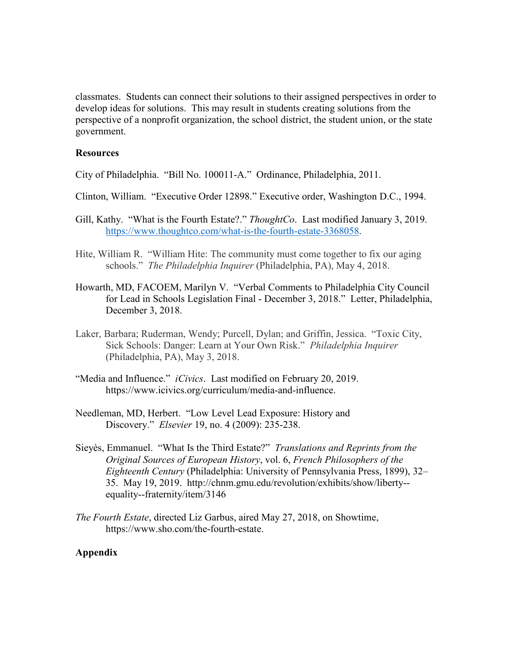classmates. Students can connect their solutions to their assigned perspectives in order to develop ideas for solutions. This may result in students creating solutions from the perspective of a nonprofit organization, the school district, the student union, or the state government.

#### **Resources**

City of Philadelphia. "Bill No. 100011-A." Ordinance, Philadelphia, 2011.

- Clinton, William. "Executive Order 12898." Executive order, Washington D.C., 1994.
- Gill, Kathy. "What is the Fourth Estate?." *ThoughtCo*. Last modified January 3, 2019. [https://www.thoughtco.com/what-is-the-fourth-estate-3368058.](https://www.thoughtco.com/what-is-the-fourth-estate-3368058)
- Hite, William R. "William Hite: The community must come together to fix our aging schools." *The Philadelphia Inquirer* (Philadelphia, PA), May 4, 2018.
- Howarth, MD, FACOEM, Marilyn V. "Verbal Comments to Philadelphia City Council for Lead in Schools Legislation Final - December 3, 2018." Letter, Philadelphia, December 3, 2018.
- Laker, Barbara; Ruderman, Wendy; Purcell, Dylan; and Griffin, Jessica. "Toxic City, Sick Schools: Danger: Learn at Your Own Risk." *Philadelphia Inquirer*  (Philadelphia, PA), May 3, 2018.
- "Media and Influence." *iCivics*. Last modified on February 20, 2019. https://www.icivics.org/curriculum/media-and-influence.
- Needleman, MD, Herbert. "Low Level Lead Exposure: History and Discovery." *Elsevier* 19, no. 4 (2009): 235-238.
- Sieyès, Emmanuel. "What Is the Third Estate?" *Translations and Reprints from the Original Sources of European History*, vol. 6, *French Philosophers of the Eighteenth Century* (Philadelphia: University of Pennsylvania Press, 1899), 32– 35. May 19, 2019. http://chnm.gmu.edu/revolution/exhibits/show/liberty- equality--fraternity/item/3146
- *The Fourth Estate*, directed Liz Garbus, aired May 27, 2018, on Showtime, https://www.sho.com/the-fourth-estate.

### **Appendix**